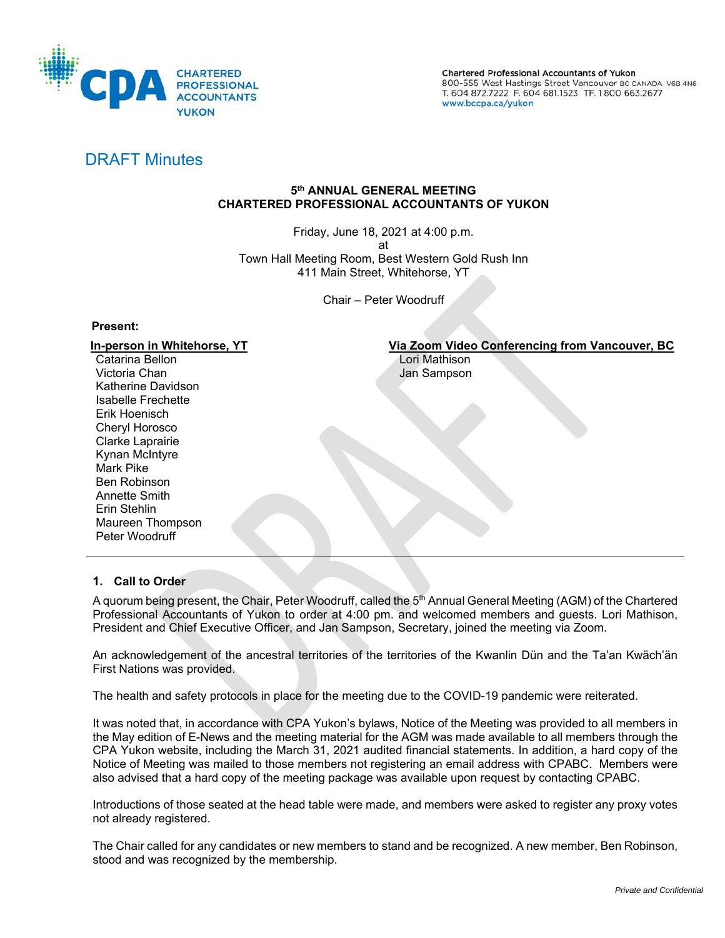

Chartered Professional Accountants of Yukon 800-555 West Hastings Street Vancouver BC CANADA V6B 4N6 T. 604 872.7222 F. 604 681.1523 TF. 1800 663.2677 www.bccpa.ca/yukon

# DRAFT Minutes

# **5th ANNUAL GENERAL MEETING CHARTERED PROFESSIONAL ACCOUNTANTS OF YUKON**

Friday, June 18, 2021 at 4:00 p.m. at Town Hall Meeting Room, Best Western Gold Rush Inn 411 Main Street, Whitehorse, YT

Chair – Peter Woodruff

# **Present:**

Catarina Bellon **Catarina Bellon** Catarina Bellon Victoria Chan Jan Sampson Katherine Davidson Isabelle Frechette Erik Hoenisch Cheryl Horosco Clarke Laprairie Kynan McIntyre Mark Pike Ben Robinson Annette Smith Erin Stehlin Maureen Thompson Peter Woodruff

# **In-person in Whitehorse, YT** Via Zoom Video Conferencing from Vancouver, BC

# **1. Call to Order**

A quorum being present, the Chair, Peter Woodruff, called the 5<sup>th</sup> Annual General Meeting (AGM) of the Chartered Professional Accountants of Yukon to order at 4:00 pm. and welcomed members and guests. Lori Mathison, President and Chief Executive Officer, and Jan Sampson, Secretary, joined the meeting via Zoom.

An acknowledgement of the ancestral territories of the territories of the Kwanlin Dün and the Ta'an Kwäch'än First Nations was provided.

The health and safety protocols in place for the meeting due to the COVID-19 pandemic were reiterated.

It was noted that, in accordance with CPA Yukon's bylaws, Notice of the Meeting was provided to all members in the May edition of E-News and the meeting material for the AGM was made available to all members through the CPA Yukon website, including the March 31, 2021 audited financial statements. In addition, a hard copy of the Notice of Meeting was mailed to those members not registering an email address with CPABC. Members were also advised that a hard copy of the meeting package was available upon request by contacting CPABC.

Introductions of those seated at the head table were made, and members were asked to register any proxy votes not already registered.

The Chair called for any candidates or new members to stand and be recognized. A new member, Ben Robinson, stood and was recognized by the membership.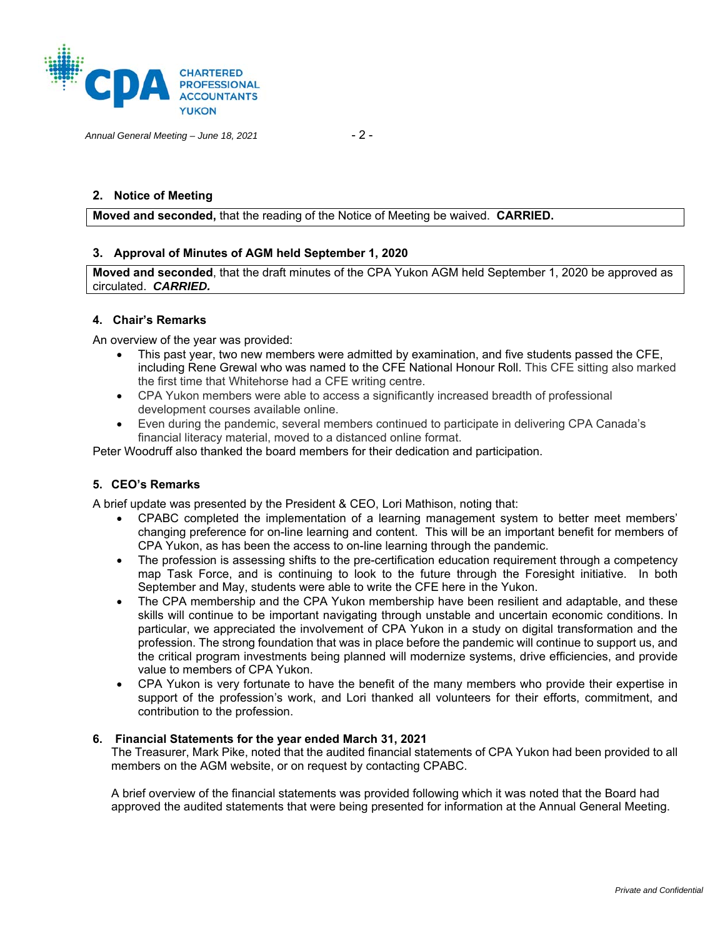

*Annual General Meeting – June 18, 2021* - 2 -

# **2. Notice of Meeting**

**Moved and seconded,** that the reading of the Notice of Meeting be waived. **CARRIED.** 

## **3. Approval of Minutes of AGM held September 1, 2020**

**Moved and seconded**, that the draft minutes of the CPA Yukon AGM held September 1, 2020 be approved as circulated. *CARRIED.* 

# **4. Chair's Remarks**

An overview of the year was provided:

- This past year, two new members were admitted by examination, and five students passed the CFE, including Rene Grewal who was named to the CFE National Honour Roll. This CFE sitting also marked the first time that Whitehorse had a CFE writing centre.
- CPA Yukon members were able to access a significantly increased breadth of professional development courses available online.
- Even during the pandemic, several members continued to participate in delivering CPA Canada's financial literacy material, moved to a distanced online format.

Peter Woodruff also thanked the board members for their dedication and participation.

### **5. CEO's Remarks**

A brief update was presented by the President & CEO, Lori Mathison, noting that:

- CPABC completed the implementation of a learning management system to better meet members' changing preference for on-line learning and content. This will be an important benefit for members of CPA Yukon, as has been the access to on-line learning through the pandemic.
- The profession is assessing shifts to the pre-certification education requirement through a competency map Task Force, and is continuing to look to the future through the Foresight initiative. In both September and May, students were able to write the CFE here in the Yukon.
- The CPA membership and the CPA Yukon membership have been resilient and adaptable, and these skills will continue to be important navigating through unstable and uncertain economic conditions. In particular, we appreciated the involvement of CPA Yukon in a study on digital transformation and the profession. The strong foundation that was in place before the pandemic will continue to support us, and the critical program investments being planned will modernize systems, drive efficiencies, and provide value to members of CPA Yukon.
- CPA Yukon is very fortunate to have the benefit of the many members who provide their expertise in support of the profession's work, and Lori thanked all volunteers for their efforts, commitment, and contribution to the profession.

#### **6. Financial Statements for the year ended March 31, 2021**

The Treasurer, Mark Pike, noted that the audited financial statements of CPA Yukon had been provided to all members on the AGM website, or on request by contacting CPABC.

A brief overview of the financial statements was provided following which it was noted that the Board had approved the audited statements that were being presented for information at the Annual General Meeting.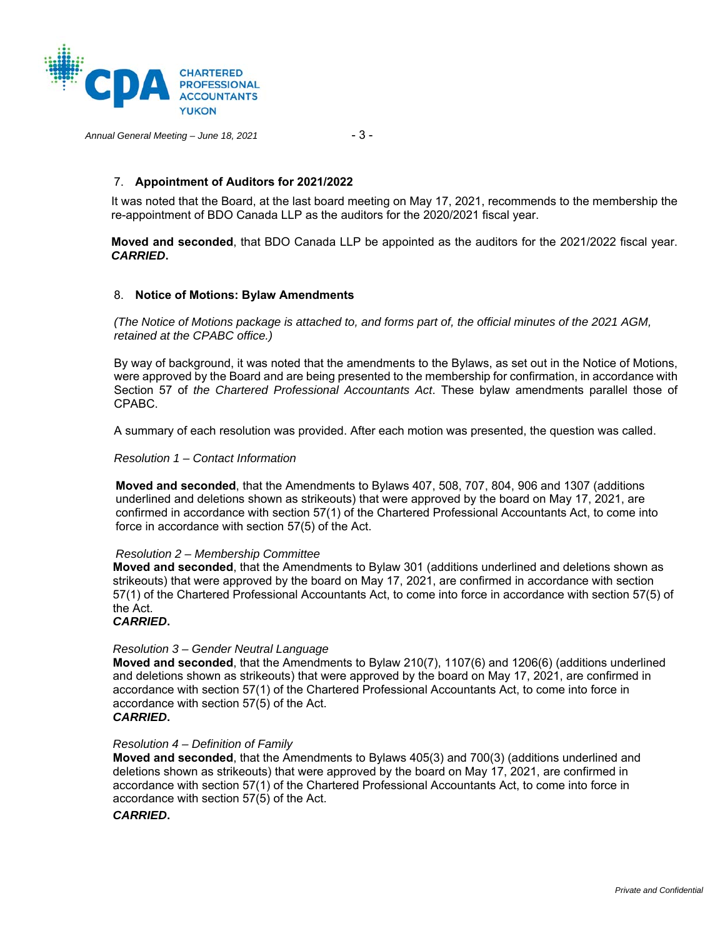

*Annual General Meeting – June 18, 2021* - 3 -

## 7. **Appointment of Auditors for 2021/2022**

It was noted that the Board, at the last board meeting on May 17, 2021, recommends to the membership the re-appointment of BDO Canada LLP as the auditors for the 2020/2021 fiscal year.

**Moved and seconded**, that BDO Canada LLP be appointed as the auditors for the 2021/2022 fiscal year. *CARRIED***.**

#### 8. **Notice of Motions: Bylaw Amendments**

*(The Notice of Motions package is attached to, and forms part of, the official minutes of the 2021 AGM, retained at the CPABC office.)* 

By way of background, it was noted that the amendments to the Bylaws, as set out in the Notice of Motions, were approved by the Board and are being presented to the membership for confirmation, in accordance with Section 57 of *the Chartered Professional Accountants Act*. These bylaw amendments parallel those of CPABC.

A summary of each resolution was provided. After each motion was presented, the question was called.

*Resolution 1 – Contact Information* 

**Moved and seconded**, that the Amendments to Bylaws 407, 508, 707, 804, 906 and 1307 (additions underlined and deletions shown as strikeouts) that were approved by the board on May 17, 2021, are confirmed in accordance with section 57(1) of the Chartered Professional Accountants Act, to come into force in accordance with section 57(5) of the Act.

#### *Resolution 2 – Membership Committee*

**Moved and seconded**, that the Amendments to Bylaw 301 (additions underlined and deletions shown as strikeouts) that were approved by the board on May 17, 2021, are confirmed in accordance with section 57(1) of the Chartered Professional Accountants Act, to come into force in accordance with section 57(5) of the Act.

#### *CARRIED***.**

## *Resolution 3 – Gender Neutral Language*

**Moved and seconded**, that the Amendments to Bylaw 210(7), 1107(6) and 1206(6) (additions underlined and deletions shown as strikeouts) that were approved by the board on May 17, 2021, are confirmed in accordance with section 57(1) of the Chartered Professional Accountants Act, to come into force in accordance with section 57(5) of the Act.

# *CARRIED***.**

#### *Resolution 4 – Definition of Family*

**Moved and seconded**, that the Amendments to Bylaws 405(3) and 700(3) (additions underlined and deletions shown as strikeouts) that were approved by the board on May 17, 2021, are confirmed in accordance with section 57(1) of the Chartered Professional Accountants Act, to come into force in accordance with section 57(5) of the Act.

#### *CARRIED***.**